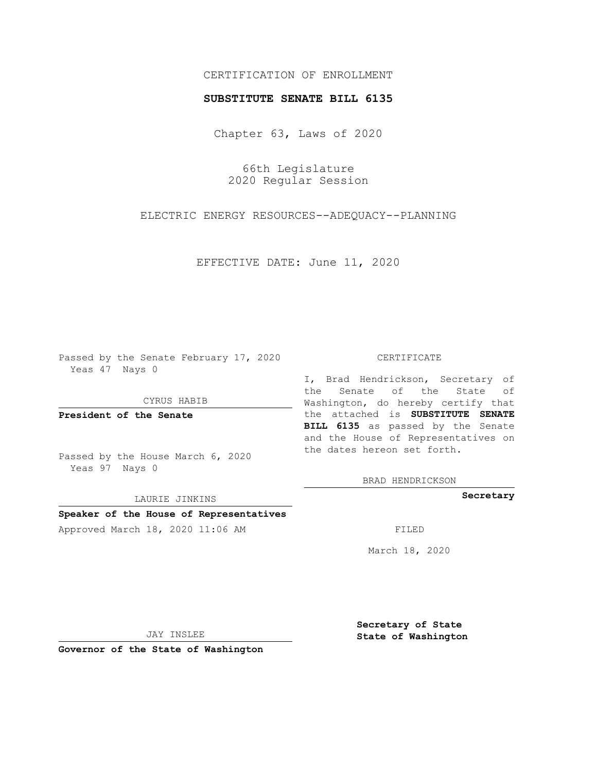## CERTIFICATION OF ENROLLMENT

## **SUBSTITUTE SENATE BILL 6135**

Chapter 63, Laws of 2020

66th Legislature 2020 Regular Session

ELECTRIC ENERGY RESOURCES--ADEQUACY--PLANNING

EFFECTIVE DATE: June 11, 2020

Passed by the Senate February 17, 2020 Yeas 47 Nays 0

CYRUS HABIB

**President of the Senate**

Passed by the House March 6, 2020 Yeas 97 Nays 0

LAURIE JINKINS

# **Speaker of the House of Representatives**

Approved March 18, 2020 11:06 AM FILED

#### CERTIFICATE

I, Brad Hendrickson, Secretary of the Senate of the State of Washington, do hereby certify that the attached is **SUBSTITUTE SENATE BILL 6135** as passed by the Senate and the House of Representatives on the dates hereon set forth.

BRAD HENDRICKSON

**Secretary**

March 18, 2020

JAY INSLEE

**Governor of the State of Washington**

**Secretary of State State of Washington**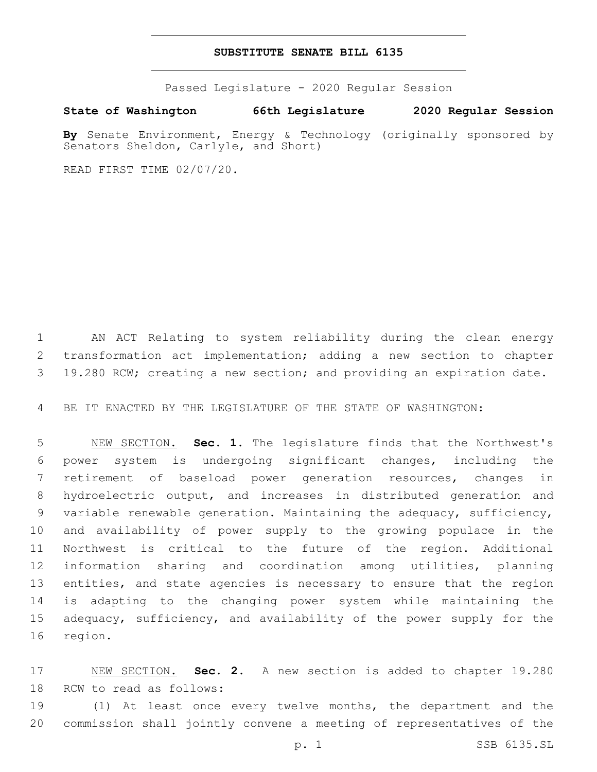## **SUBSTITUTE SENATE BILL 6135**

Passed Legislature - 2020 Regular Session

**State of Washington 66th Legislature 2020 Regular Session**

**By** Senate Environment, Energy & Technology (originally sponsored by Senators Sheldon, Carlyle, and Short)

READ FIRST TIME 02/07/20.

 AN ACT Relating to system reliability during the clean energy transformation act implementation; adding a new section to chapter 19.280 RCW; creating a new section; and providing an expiration date.

BE IT ENACTED BY THE LEGISLATURE OF THE STATE OF WASHINGTON:

 NEW SECTION. **Sec. 1.** The legislature finds that the Northwest's power system is undergoing significant changes, including the retirement of baseload power generation resources, changes in hydroelectric output, and increases in distributed generation and variable renewable generation. Maintaining the adequacy, sufficiency, and availability of power supply to the growing populace in the Northwest is critical to the future of the region. Additional information sharing and coordination among utilities, planning 13 entities, and state agencies is necessary to ensure that the region is adapting to the changing power system while maintaining the adequacy, sufficiency, and availability of the power supply for the region.

 NEW SECTION. **Sec. 2.** A new section is added to chapter 19.280 18 RCW to read as follows:

 (1) At least once every twelve months, the department and the commission shall jointly convene a meeting of representatives of the